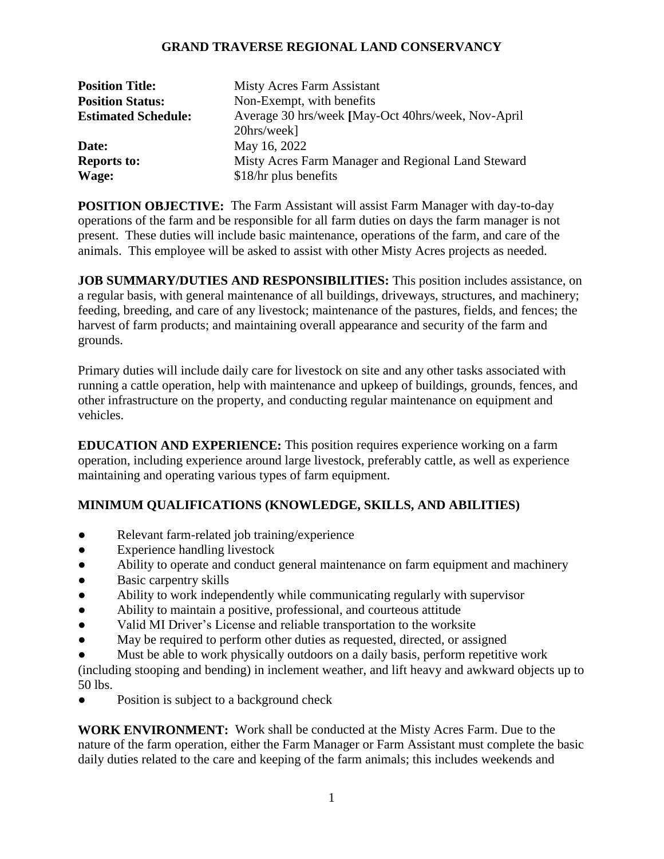## **GRAND TRAVERSE REGIONAL LAND CONSERVANCY**

| <b>Position Title:</b>     | Misty Acres Farm Assistant                          |
|----------------------------|-----------------------------------------------------|
| <b>Position Status:</b>    | Non-Exempt, with benefits                           |
| <b>Estimated Schedule:</b> | Average 30 hrs/week [May-Oct 40hrs/week, Nov-April] |
|                            | 20hrs/week]                                         |
| Date:                      | May 16, 2022                                        |
| <b>Reports to:</b>         | Misty Acres Farm Manager and Regional Land Steward  |
| Wage:                      | \$18/hr plus benefits                               |

**POSITION OBJECTIVE:** The Farm Assistant will assist Farm Manager with day-to-day operations of the farm and be responsible for all farm duties on days the farm manager is not present. These duties will include basic maintenance, operations of the farm, and care of the animals. This employee will be asked to assist with other Misty Acres projects as needed.

**JOB SUMMARY/DUTIES AND RESPONSIBILITIES:** This position includes assistance, on a regular basis, with general maintenance of all buildings, driveways, structures, and machinery; feeding, breeding, and care of any livestock; maintenance of the pastures, fields, and fences; the harvest of farm products; and maintaining overall appearance and security of the farm and grounds.

Primary duties will include daily care for livestock on site and any other tasks associated with running a cattle operation, help with maintenance and upkeep of buildings, grounds, fences, and other infrastructure on the property, and conducting regular maintenance on equipment and vehicles.

**EDUCATION AND EXPERIENCE:** This position requires experience working on a farm operation, including experience around large livestock, preferably cattle, as well as experience maintaining and operating various types of farm equipment.

## **MINIMUM QUALIFICATIONS (KNOWLEDGE, SKILLS, AND ABILITIES)**

- Relevant farm-related job training/experience
- Experience handling livestock
- Ability to operate and conduct general maintenance on farm equipment and machinery
- Basic carpentry skills
- Ability to work independently while communicating regularly with supervisor
- Ability to maintain a positive, professional, and courteous attitude
- Valid MI Driver's License and reliable transportation to the worksite
- May be required to perform other duties as requested, directed, or assigned
- Must be able to work physically outdoors on a daily basis, perform repetitive work

(including stooping and bending) in inclement weather, and lift heavy and awkward objects up to 50 lbs.

• Position is subject to a background check

**WORK ENVIRONMENT:** Work shall be conducted at the Misty Acres Farm. Due to the nature of the farm operation, either the Farm Manager or Farm Assistant must complete the basic daily duties related to the care and keeping of the farm animals; this includes weekends and